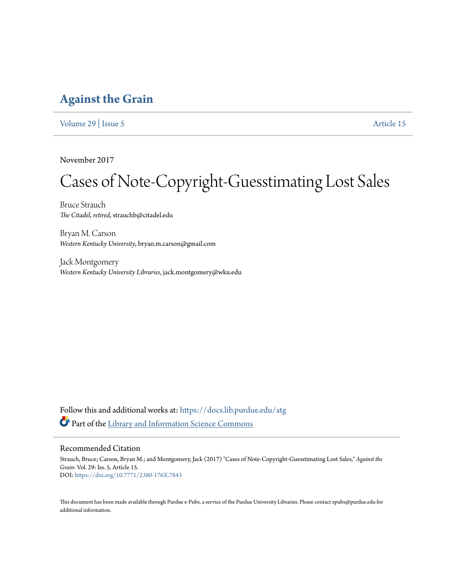## **[Against the Grain](https://docs.lib.purdue.edu/atg?utm_source=docs.lib.purdue.edu%2Fatg%2Fvol29%2Fiss5%2F15&utm_medium=PDF&utm_campaign=PDFCoverPages)**

[Volume 29](https://docs.lib.purdue.edu/atg/vol29?utm_source=docs.lib.purdue.edu%2Fatg%2Fvol29%2Fiss5%2F15&utm_medium=PDF&utm_campaign=PDFCoverPages) | [Issue 5](https://docs.lib.purdue.edu/atg/vol29/iss5?utm_source=docs.lib.purdue.edu%2Fatg%2Fvol29%2Fiss5%2F15&utm_medium=PDF&utm_campaign=PDFCoverPages) [Article 15](https://docs.lib.purdue.edu/atg/vol29/iss5/15?utm_source=docs.lib.purdue.edu%2Fatg%2Fvol29%2Fiss5%2F15&utm_medium=PDF&utm_campaign=PDFCoverPages)

November 2017

## Cases of Note-Copyright-Guesstimating Lost Sales

Bruce Strauch *The Citadel, retired*, strauchb@citadel.edu

Bryan M. Carson *Western Kentucky University*, bryan.m.carson@gmail.com

Jack Montgomery *Western Kentucky University Libraries*, jack.montgomery@wku.edu

Follow this and additional works at: [https://docs.lib.purdue.edu/atg](https://docs.lib.purdue.edu/atg?utm_source=docs.lib.purdue.edu%2Fatg%2Fvol29%2Fiss5%2F15&utm_medium=PDF&utm_campaign=PDFCoverPages) Part of the [Library and Information Science Commons](http://network.bepress.com/hgg/discipline/1018?utm_source=docs.lib.purdue.edu%2Fatg%2Fvol29%2Fiss5%2F15&utm_medium=PDF&utm_campaign=PDFCoverPages)

### Recommended Citation

Strauch, Bruce; Carson, Bryan M.; and Montgomery, Jack (2017) "Cases of Note-Copyright-Guesstimating Lost Sales," *Against the Grain*: Vol. 29: Iss. 5, Article 15. DOI: <https://doi.org/10.7771/2380-176X.7843>

This document has been made available through Purdue e-Pubs, a service of the Purdue University Libraries. Please contact epubs@purdue.edu for additional information.